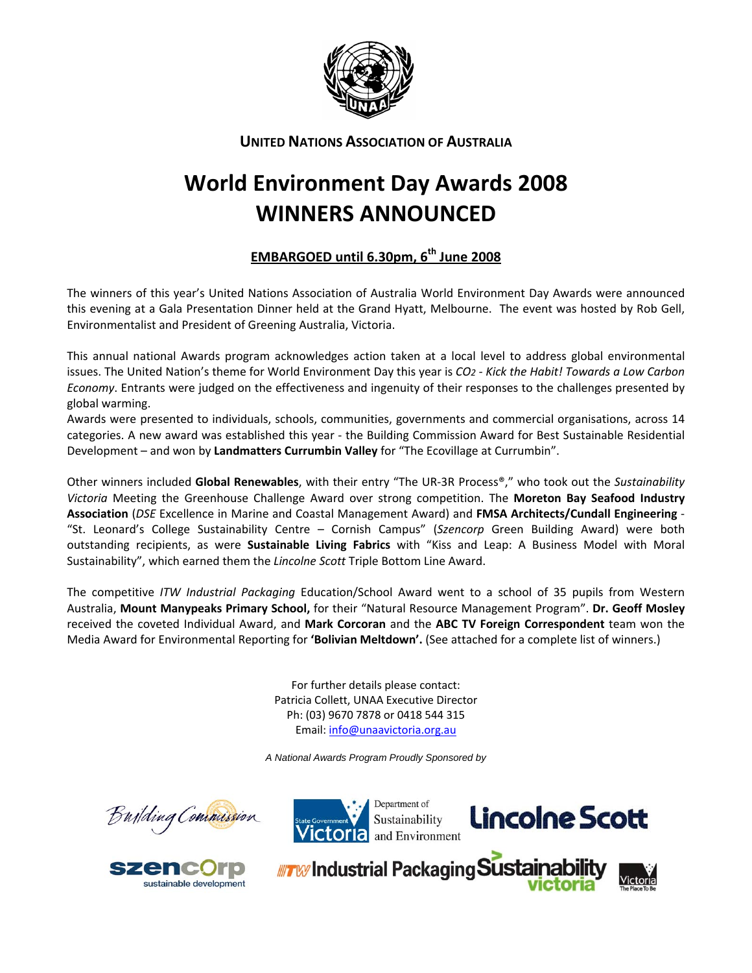

# **UNITED NATIONS ASSOCIATION OF AUSTRALIA**

# **World Environment Day Awards 2008 WINNERS ANNOUNCED**

# **EMBARGOED until 6.30pm, 6th June 2008**

The winners of this year's United Nations Association of Australia World Environment Day Awards were announced this evening at a Gala Presentation Dinner held at the Grand Hyatt, Melbourne. The event was hosted by Rob Gell, Environmentalist and President of Greening Australia, Victoria.

This annual national Awards program acknowledges action taken at a local level to address global environmental issues. The United Nation's theme for World Environment Day this year is *CO2 ‐ Kick the Habit! Towards a Low Carbon Economy*. Entrants were judged on the effectiveness and ingenuity of their responses to the challenges presented by global warming.

Awards were presented to individuals, schools, communities, governments and commercial organisations, across 14 categories. A new award was established this year ‐ the Building Commission Award for Best Sustainable Residential Development – and won by **Landmatters Currumbin Valley** for "The Ecovillage at Currumbin".

Other winners included **Global Renewables**, with their entry "The UR‐3R Process®," who took out the *Sustainability Victoria* Meeting the Greenhouse Challenge Award over strong competition. The **Moreton Bay Seafood Industry Association** (*DSE* Excellence in Marine and Coastal Management Award) and **FMSA Architects/Cundall Engineering** ‐ "St. Leonard's College Sustainability Centre – Cornish Campus" (*Szencorp* Green Building Award) were both outstanding recipients, as were **Sustainable Living Fabrics** with "Kiss and Leap: A Business Model with Moral Sustainability", which earned them the *Lincolne Scott* Triple Bottom Line Award.

The competitive *ITW Industrial Packaging* Education/School Award went to a school of 35 pupils from Western Australia, **Mount Manypeaks Primary School,** for their "Natural Resource Management Program". **Dr. Geoff Mosley** received the coveted Individual Award, and **Mark Corcoran** and the **ABC TV Foreign Correspondent** team won the Media Award for Environmental Reporting for **'Bolivian Meltdown'.** (See attached for a complete list of winners.)

> For further details please contact: Patricia Collett, UNAA Executive Director Ph: (03) 9670 7878 or 0418 544 315 Email: info@unaavictoria.org.au

*A National Awards Program Proudly Sponsored by*